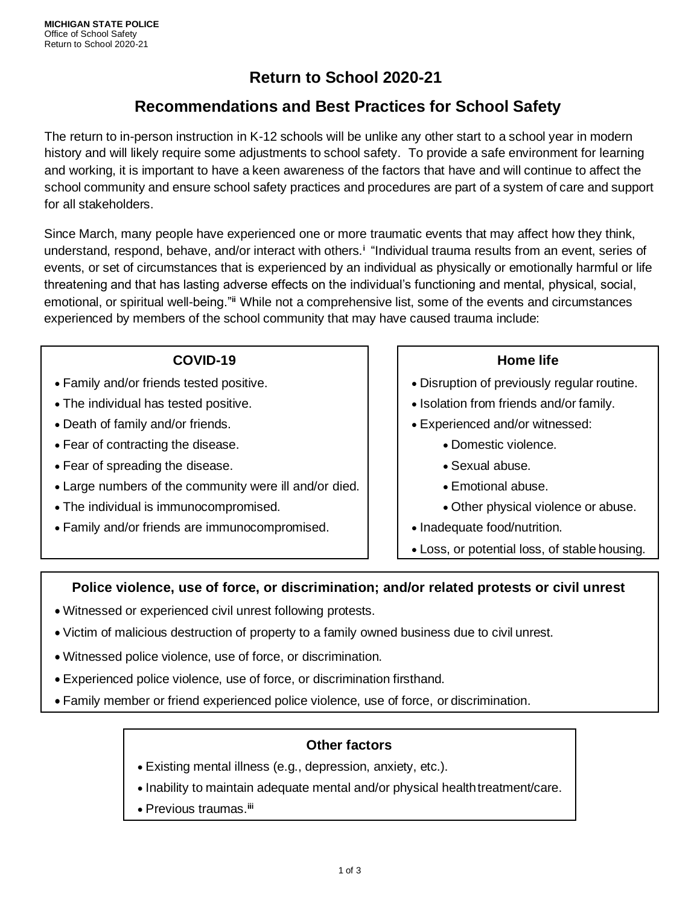## **Return to School 2020-21**

## **Recommendations and Best Practices for School Safety**

The return to in-person instruction in K-12 schools will be unlike any other start to a school year in modern history and will likely require some adjustments to school safety. To provide a safe environment for learning and working, it is important to have a keen awareness of the factors that have and will continue to affect the school community and ensure school safety practices and procedures are part of a system of care and support for all stakeholders.

Since March, many people have experienced one or more traumatic events that may affect how they think, understand, respond, behave, and/or interact with others.**<sup>i</sup>** "Individual trauma results from an event, series of events, or set of circumstances that is experienced by an individual as physically or emotionally harmful or life threatening and that has lasting adverse effects on the individual's functioning and mental, physical, social, emotional, or spiritual well-being."**ii** While not a comprehensive list, some of the events and circumstances experienced by members of the school community that may have caused trauma include:

## **COVID-19**

- Family and/or friends tested positive.
- The individual has tested positive.
- Death of family and/or friends.
- Fear of contracting the disease.
- Fear of spreading the disease.
- Large numbers of the community were ill and/or died.
- The individual is immunocompromised.
- Family and/or friends are immunocompromised.

## **Home life**

- Disruption of previously regular routine.
- Isolation from friends and/or family.
- Experienced and/or witnessed:
	- Domestic violence.
	- Sexual abuse.
	- Emotional abuse.
	- Other physical violence or abuse.
- Inadequate food/nutrition.
- Loss, or potential loss, of stable housing.

## **Police violence, use of force, or discrimination; and/or related protests or civil unrest**

- Witnessed or experienced civil unrest following protests.
- Victim of malicious destruction of property to a family owned business due to civil unrest.
- Witnessed police violence, use of force, or discrimination.
- Experienced police violence, use of force, or discrimination firsthand.
- Family member or friend experienced police violence, use of force, or discrimination.

## **Other factors**

- Existing mental illness (e.g., depression, anxiety, etc.).
- Inability to maintain adequate mental and/or physical healthtreatment/care.
- Previous traumas.**iii**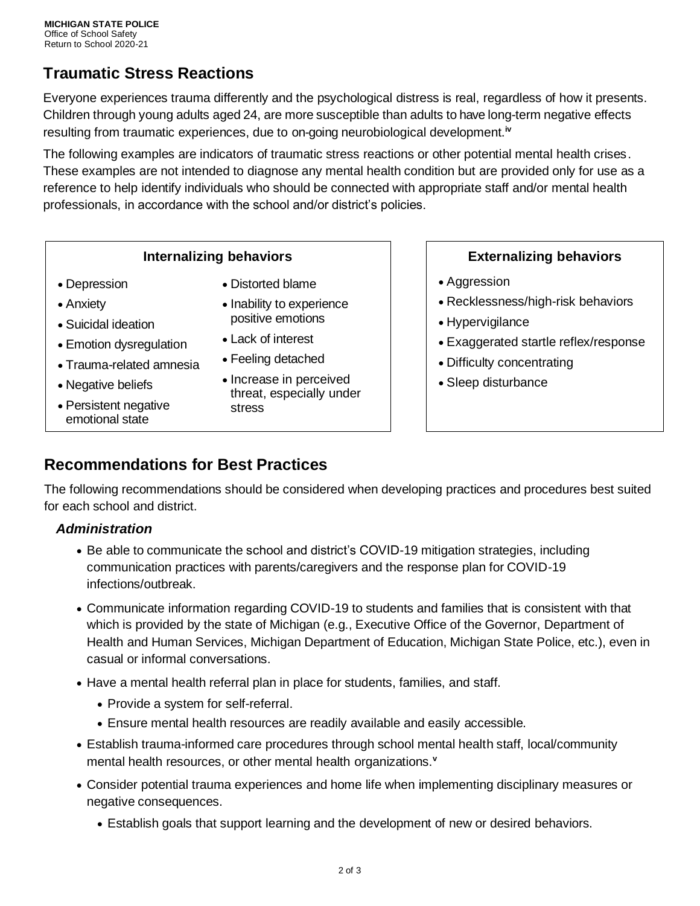# **Traumatic Stress Reactions**

Everyone experiences trauma differently and the psychological distress is real, regardless of how it presents. Children through young adults aged 24, are more susceptible than adults to have long-term negative effects resulting from traumatic experiences, due to on-going neurobiological development.**iv**

The following examples are indicators of traumatic stress reactions or other potential mental health crises. These examples are not intended to diagnose any mental health condition but are provided only for use as a reference to help identify individuals who should be connected with appropriate staff and/or mental health professionals, in accordance with the school and/or district's policies.

- Depression
- Anxiety
- Suicidal ideation
- Emotion dysregulation
- Trauma-related amnesia
- Negative beliefs
- Persistent negative emotional state
- Distorted blame
	- Inability to experience positive emotions
	- Lack of interest
	- Feeling detached
	- Increase in perceived threat, especially under stress

## **Internalizing behaviors Externalizing behaviors**

- Aggression
- Recklessness/high-risk behaviors
- Hypervigilance
- Exaggerated startle reflex/response
- Difficulty concentrating
- Sleep disturbance

## **Recommendations for Best Practices**

The following recommendations should be considered when developing practices and procedures best suited for each school and district.

## *Administration*

- Be able to communicate the school and district's COVID-19 mitigation strategies, including communication practices with parents/caregivers and the response plan for COVID-19 infections/outbreak.
- Communicate information regarding COVID-19 to students and families that is consistent with that which is provided by the state of Michigan (e.g., Executive Office of the Governor, Department of Health and Human Services, Michigan Department of Education, Michigan State Police, etc.), even in casual or informal conversations.
- Have a mental health referral plan in place for students, families, and staff.
	- Provide a system for self-referral.
	- Ensure mental health resources are readily available and easily accessible.
- Establish trauma-informed care procedures through school mental health staff, local/community mental health resources, or other mental health organizations.**<sup>v</sup>**
- Consider potential trauma experiences and home life when implementing disciplinary measures or negative consequences.
	- Establish goals that support learning and the development of new or desired behaviors.